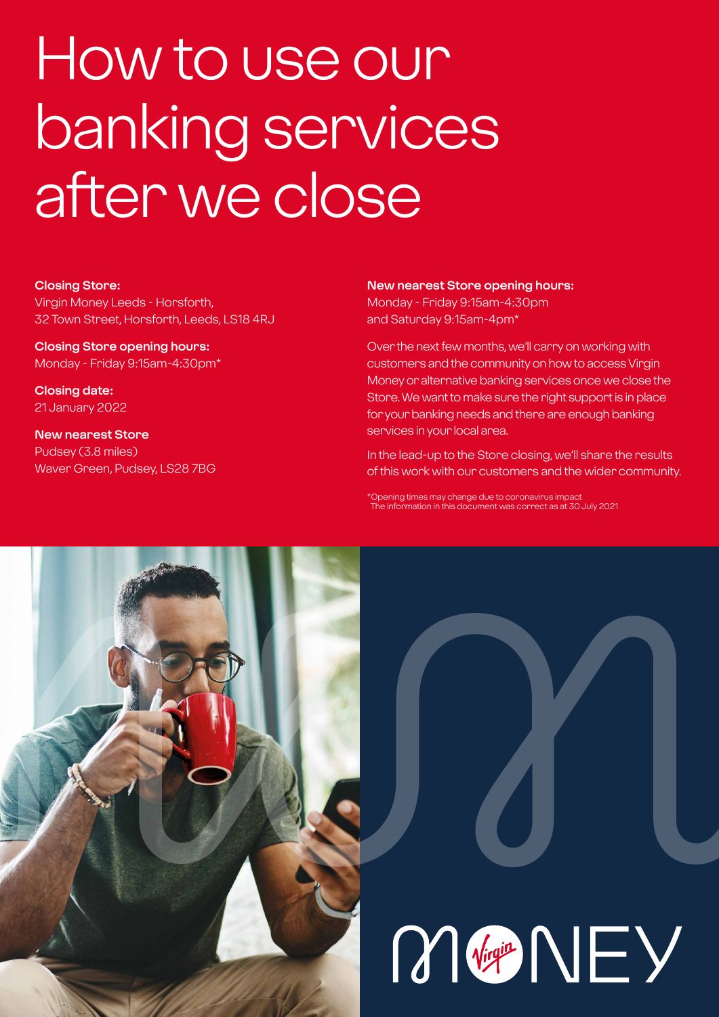# How to use our banking services after we close

#### **Closing Store:**

Virgin Money Leeds - Horsforth, 32 Town Street, Horsforth, Leeds, LS18 4RJ

**Closing Store opening hours:**  Monday - Friday 9:15am-4:30pm\*

**Closing date:**  21 January 2022

**New nearest Store** Pudsey (3.8 miles) Waver Green, Pudsey, LS28 7BG

#### **New nearest Store opening hours:**

Monday - Friday 9:15am-4:30pm and Saturday 9:15am-4pm\*

Over the next few months, we'll carry on working with customers and the community on how to access Virgin Money or alternative banking services once we close the Store. We want to make sure the right support is in place for your banking needs and there are enough banking services in your local area.

In the lead-up to the Store closing, we'll share the results of this work with our customers and the wider community.

\*Opening times may change due to coronavirus impact The information in this document was correct as at 30 July 2021

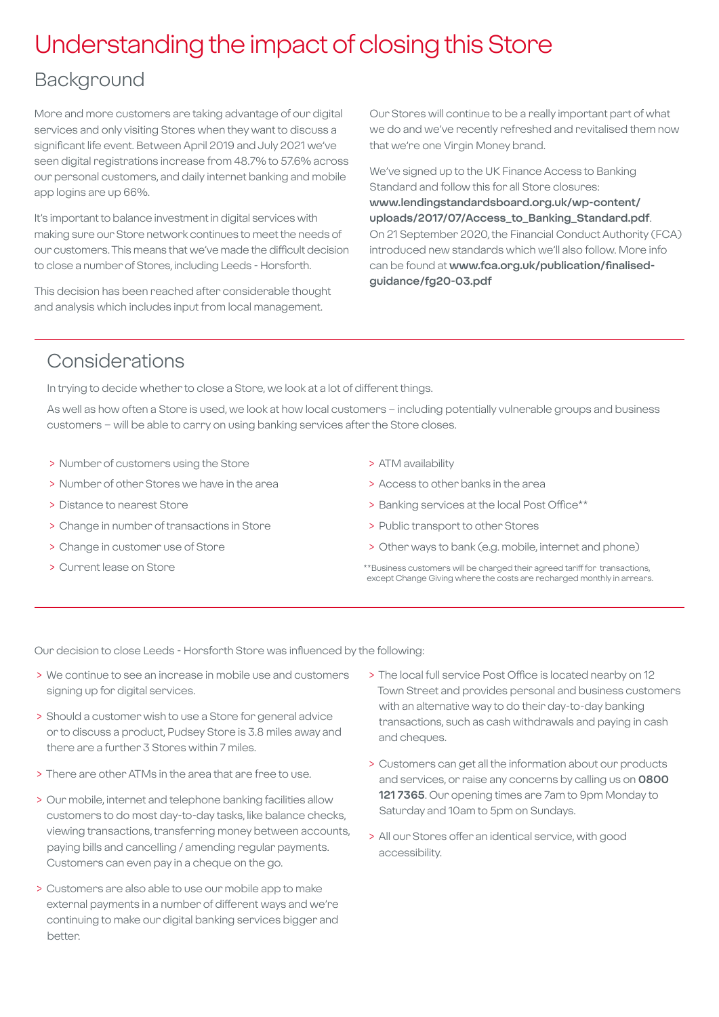## Understanding the impact of closing this Store

## Background

More and more customers are taking advantage of our digital services and only visiting Stores when they want to discuss a significant life event. Between April 2019 and July 2021 we've seen digital registrations increase from 48.7% to 57.6% across our personal customers, and daily internet banking and mobile app logins are up 66%.

It's important to balance investment in digital services with making sure our Store network continues to meet the needs of our customers. This means that we've made the difficult decision to close a number of Stores, including Leeds - Horsforth.

This decision has been reached after considerable thought and analysis which includes input from local management.

Our Stores will continue to be a really important part of what we do and we've recently refreshed and revitalised them now that we're one Virgin Money brand.

We've signed up to the UK Finance Access to Banking Standard and follow this for all Store closures: **[www.lendingstandardsboard.org.uk/wp-content/](http://www.lendingstandardsboard.org.uk/wp-content/uploads/2017/07/Access_to_Banking_Standard.pdf) [uploads/2017/07/Access\\_to\\_Banking\\_Standard.pdf](http://www.lendingstandardsboard.org.uk/wp-content/uploads/2017/07/Access_to_Banking_Standard.pdf)**. On 21 September 2020, the Financial Conduct Authority (FCA) introduced new standards which we'll also follow. More info can be found at **[www.fca.org.uk/publication/finalised](http://www.fca.org.uk/publication/finalised-guidance/fg20-03.pdf)[guidance/fg20-03.pdf](http://www.fca.org.uk/publication/finalised-guidance/fg20-03.pdf)**

## Considerations

In trying to decide whether to close a Store, we look at a lot of different things.

As well as how often a Store is used, we look at how local customers – including potentially vulnerable groups and business customers – will be able to carry on using banking services after the Store closes.

- > Number of customers using the Store
- > Number of other Stores we have in the area
- > Distance to nearest Store
- > Change in number of transactions in Store
- > Change in customer use of Store
- > Current lease on Store
- > ATM availability
- > Access to other banks in the area
- > Banking services at the local Post Office\*\*
- > Public transport to other Stores
- > Other ways to bank (e.g. mobile, internet and phone)
- \*\*Business customers will be charged their agreed tariff for transactions, except Change Giving where the costs are recharged monthly in arrears.

Our decision to close Leeds - Horsforth Store was influenced by the following:

- > We continue to see an increase in mobile use and customers signing up for digital services.
- > Should a customer wish to use a Store for general advice or to discuss a product, Pudsey Store is 3.8 miles away and there are a further 3 Stores within 7 miles.
- > There are other ATMs in the area that are free to use.
- > Our mobile, internet and telephone banking facilities allow customers to do most day-to-day tasks, like balance checks, viewing transactions, transferring money between accounts, paying bills and cancelling / amending regular payments. Customers can even pay in a cheque on the go.
- > Customers are also able to use our mobile app to make external payments in a number of different ways and we're continuing to make our digital banking services bigger and better.
- > The local full service Post Office is located nearby on 12 Town Street and provides personal and business customers with an alternative way to do their day-to-day banking transactions, such as cash withdrawals and paying in cash and cheques.
- > Customers can get all the information about our products and services, or raise any concerns by calling us on **0800 121 7365**. Our opening times are 7am to 9pm Monday to Saturday and 10am to 5pm on Sundays.
- > All our Stores offer an identical service, with good accessibility.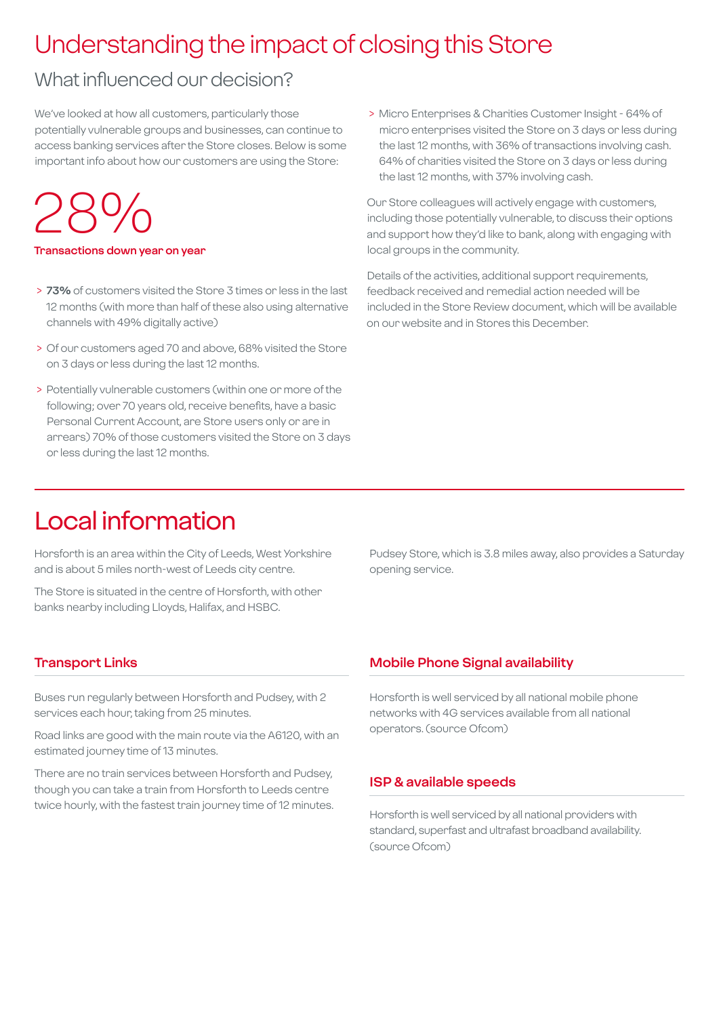## Understanding the impact of closing this Store

## What influenced our decision?

We've looked at how all customers, particularly those potentially vulnerable groups and businesses, can continue to access banking services after the Store closes. Below is some important info about how our customers are using the Store:

# 28%

#### **Transactions down year on year**

- > **73%** of customers visited the Store 3 times or less in the last 12 months (with more than half of these also using alternative channels with 49% digitally active)
- > Of our customers aged 70 and above, 68% visited the Store on 3 days or less during the last 12 months.
- > Potentially vulnerable customers (within one or more of the following; over 70 years old, receive benefits, have a basic Personal Current Account, are Store users only or are in arrears) 70% of those customers visited the Store on 3 days or less during the last 12 months.

 > Micro Enterprises & Charities Customer Insight - 64% of micro enterprises visited the Store on 3 days or less during the last 12 months, with 36% of transactions involving cash. 64% of charities visited the Store on 3 days or less during the last 12 months, with 37% involving cash.

Our Store colleagues will actively engage with customers, including those potentially vulnerable, to discuss their options and support how they'd like to bank, along with engaging with local groups in the community.

Details of the activities, additional support requirements, feedback received and remedial action needed will be included in the Store Review document, which will be available on our website and in Stores this December.

## Local information

Horsforth is an area within the City of Leeds, West Yorkshire and is about 5 miles north-west of Leeds city centre.

The Store is situated in the centre of Horsforth, with other banks nearby including Lloyds, Halifax, and HSBC.

Pudsey Store, which is 3.8 miles away, also provides a Saturday opening service.

#### **Transport Links**

Buses run regularly between Horsforth and Pudsey, with 2 services each hour, taking from 25 minutes.

Road links are good with the main route via the A6120, with an estimated journey time of 13 minutes.

There are no train services between Horsforth and Pudsey, though you can take a train from Horsforth to Leeds centre twice hourly, with the fastest train journey time of 12 minutes.

#### **Mobile Phone Signal availability**

Horsforth is well serviced by all national mobile phone networks with 4G services available from all national operators. (source Ofcom)

#### **ISP & available speeds**

Horsforth is well serviced by all national providers with standard, superfast and ultrafast broadband availability. (source Ofcom)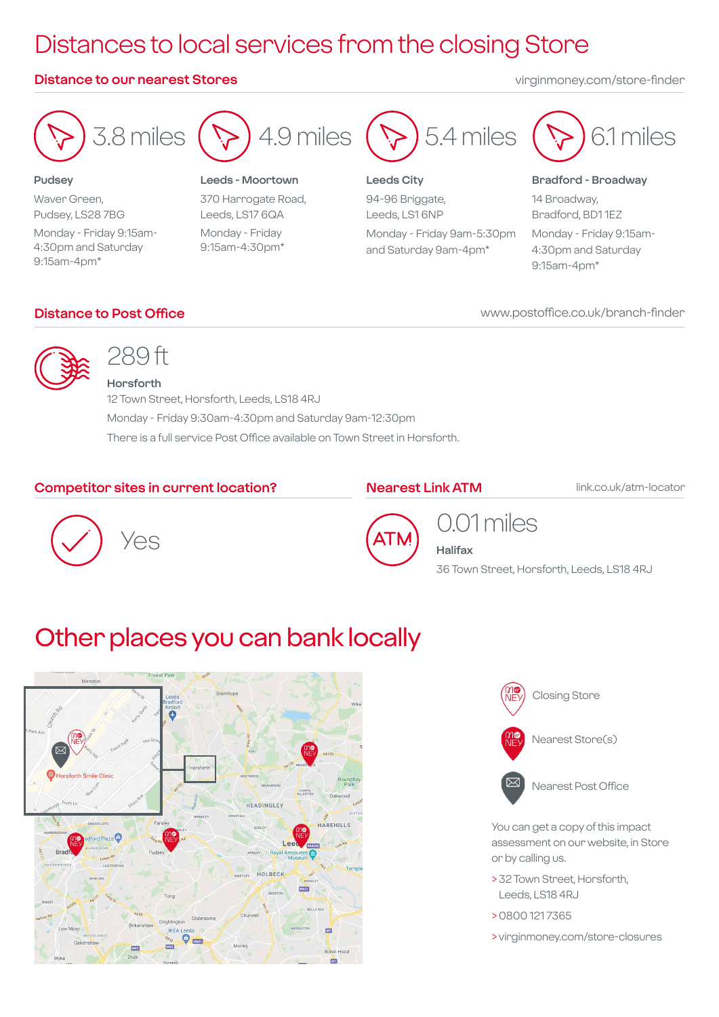## Distances to local services from the closing Store

#### **Distance to our nearest Stores** virginmoney.com/store-finder



**Pudsey** Waver Green, Pudsey, LS28 7BG Monday - Friday 9:15am-4:30pm and Saturday 9:15am-4pm\*

**Leeds - Moortown** 370 Harrogate Road, Leeds, LS17 6QA Monday - Friday 9:15am-4:30pm\*



**Leeds City** 94-96 Briggate, Leeds, LS1 6NP Monday - Friday 9am-5:30pm and Saturday 9am-4pm\*



#### **Bradford - Broadway**

14 Broadway, Bradford, BD1 1EZ Monday - Friday 9:15am-4:30pm and Saturday 9:15am-4pm\*

### **Distance to Post Office**

www.postoffice.co.uk/branch-finder



## 289 ft

**Horsforth** 12 Town Street, Horsforth, Leeds, LS18 4RJ Monday - Friday 9:30am-4:30pm and Saturday 9am-12:30pm There is a full service Post Office available on Town Street in Horsforth.

### **Competitor sites in current location?**

#### **Nearest Link ATM**

link.co.uk/atm-locator





0.01 miles

**Halifax** 36 Town Street, Horsforth, Leeds, LS18 4RJ

## Other places you can bank locally





You can get a copy of this impact assessment on our website, in Store or by calling us.

- > 32 Town Street, Horsforth, Leeds, LS18 4RJ
- > 0800 121 7365
- > virginmoney.com/store-closures